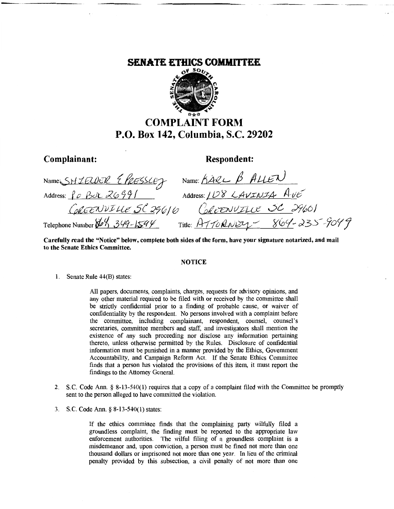### **SENATE ETHICS COMMITTEE**



# **COMPLAINT FORM** P.O. Box 142, Columbia, S.C. 29202

## Complainant:

### **Respondent:**

Name: SHIEUER {PRESSLEY Name: KARL B ALLEN<br>Address: <u>Po Box 26991</u> Address: 108 LAVINIA POBOL 26991 Address: 108 LAVINIA AVE Title: ATTORNEY - 864-235-9049 Telephone Number  $86\%$  349-1544

Carefully read the "Notice" below, complete both sides of the form, have your signature notarized, and mail to the Senate Ethics Committee.

#### NOTICE

1. Senate Rule 44(B) states:

All papers, documents, complaints, charges, requests for advisory opinions, and any other material required to be filed with or received by the committee shall be strictly confidential prior to a finding of probable cause, or waiver of confidentiality by the respondent. No persons involved with a complaint before the committee, including complainant, respondent, counsel, counsel's secretaries, committee members and staff, and investigators shall mention the existence of any such proceeding nor disclose any information pertaining thereto, unless otherwise permitted by the Rules. Disclosure of confidential information must be punished in a manner provided by the Ethics, Government Accountability, and Campaign Reform Act. If the Senate Ethics Committee finds that a person has violated the provisions of this item, it must report the findings to the Attorney General.

- 2. S.C. Code Ann. § 8-13-540(1) requires that a copy of a complaint filed with the Committee be promptly sent to the person alleged to have committed the violation.
- 3. S.C. Code Ann.  $\S 8-13-540(1)$  states:

If the ethics committee finds that the complaining party wilfully filed a groundless complaint, the finding must be reported to the appropriate law enforcement authorities. The wilful filing of a groundless complaint is a misdemeanor and, upon conviction, a person must be fined not more than one thousand dollars or imprisoned not more than one year. In lieu of the criminal penalty provided by this subsection, a civil penalty of not more than one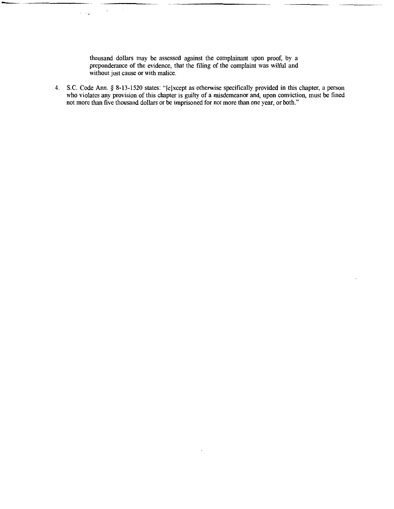thousand dollars may be assessed against the complainant upon proof, by a preponderance of the evidence, that the filing of the complaint was wilful and without just cause or with malice.

4. S.C. Code Ann. § 8-13-1520 states: "[e]xcept as otherwise specifically provided in this chapter, a person who violates any provision of this chapter is guilty of a misdemeanor and, upon conviction, must be fined not more than five thousand dollars or be imprisoned for not more than one year, or both."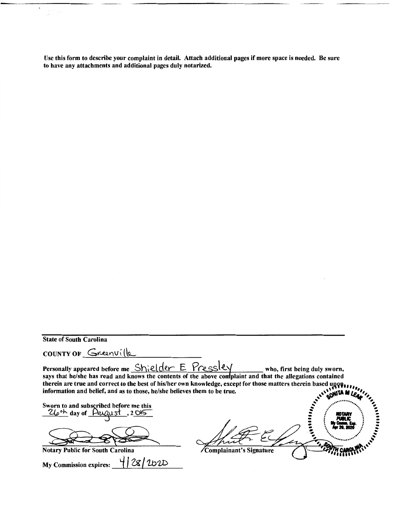Use this form to describe your complaint in detail. Attach additional pages if more space is needed. Be sure to have any attachments and additional pages duly notarized.

**State of South Carolina** COUNTY OF GREENVille Personally appeared before me Shielder E Pres who, first being duly sworn, says that he/she has read and knows the contents of the above complaint and that the allegations contained therein are true and correct to the best of his/her own knowledge, except for those matters therein based ung information and belief, and as to those, he/she believes them to be true. Seannon Sworn to and subscribed before me this 26<sup>th</sup> day of <u>August</u>  $,200$ **Notary Public for South Carolina** Complainant's Signature 4/28/2020

My Commission expires: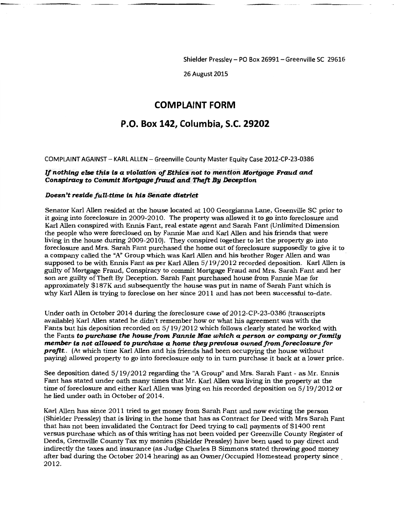Shielder Pressley - PO Box 26991 - Greenville SC 29616

26 August 2015

### **COMPLAINT FORM**

### **P.O. Box 142, Columbia, S.C. 29202**

COMPlAINT AGAINST- KARL ALLEN- Greenville County Master Equity Case 2012-CP-23-0386

#### If *nothing else this is a violation of Ethics not to mention Mortgage Fraud and Conspiracy to Commit Mortgage fraud and Theft By Deception*

#### *Doesn't residefull-time in his Senate district*

Senator Karl Allen resided at the house located at 100 Georgianna Lane, Greenville SC prior to it going into foreclosure in 2009-2010. The property was allowed it to go into foreclosure and Karl Allen conspired with Ennis Fant, real estate agent and Sarah Fant (Unlimited Dimension the people who were foreclosed on by Fannie Mae and Karl Allen and his friends that were living in the house during 2009-2010). They conspired together to let the property go into foreclosure and Mrs. Sarah Fant purchased the home out of foreclosure supposedly to give it to a company called the "A" Group which was Karl Allen and his brother Roger Allen and was supposed to be with Ennis Fant as per Karl Allen 5/19/2012 recorded deposition. Karl Allen is guilty of Mortgage Fraud, Conspiracy to commit Mortgage Fraud and Mrs. Sarah Fant and her son are guilty of Theft By Deception. Sarah Fant purchased house from Fannie Mae for approximately \$187K and subsequently the house was put in name of Sarah Fant which is why Karl Allen is trying to foreclose on her since 2011 and has not been successful to-date.

Under oath in October 2014 during the foreclosure case of 2012-CP-23-0386 (transcripts available) Karl Allen stated he didn't remember how or what his agreement was with the Fants but his deposition recorded on  $5/19/2012$  which follows clearly stated he worked with the Fants *to purchase the house from Fannie Mae which a person or company or family member is not allowed to purchase a home they previous owned from foreclosure for profit..* (At which time Karl Allen and his friends had been occupying the house without paying) allowed property to go into foreclosure only to in tum purchase it back at a lower price.

See deposition dated 5/19/2012 regarding the "A Group" and Mrs. Sarah Fant - as Mr. Ennis Fant has stated under oath many times that Mr. Karl Allen was living in the property at the time of foreclosure and either Karl Allen was lying on his recorded deposition on 5/19/2012 or he lied under oath in October of 2014.

Karl Allen has since 2011 tried to get money from Sarah Fant and now evicting the person (Shielder Pressley) that is living in the home that has as Contract for Deed with Mrs Sarah Fant that has not been invalidated the Contract for Deed trying to call payments of \$1400 rent versus purchase which as of this writing has not been voided per Greenville County Register of Deeds, Greenville County Tax my monies (Shielder Pressley) have been used to pay direct and indirectly the taxes and insurance (as Judge Charles B Simmons stated throwing good money after bad during the October 2014 hearing) as an Owner/Occupied Homestead property since 2012.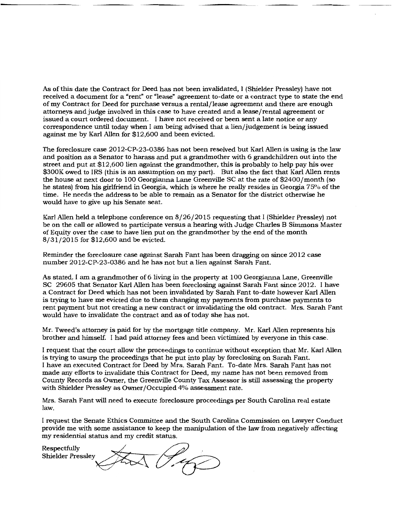As of this date the Contract for Deed has not been invalidated, I (Shielder Pressley) have not received a document for a "rent" or "lease" agreement to-date or a contract type to state the end of my Contract for Deed for purchase versus a rental/lease agreement and there are enough attomeys and judge involved in this case to have created and a lease/rental agreement or issued a court ordered document. I have not received or been sent a late notice or any correspondence until today when I am being advised that a lien/judgement is being issued against me by Karl Allen for \$12,600 and been evicted.

The foreclosure case 2012-CP-23-0386 has not been resolved but Karl Allen is using is the law and position as a Senator to harass and put a grandmother with 6 grandchildren out into the street and put at \$12,600 lien against the grandmother, this is probably to help pay his over \$300K owed to IRS (this is an assumption on my part). But also the fact that Karl Allen rents the house at next door to 100 Georgianna Lane Greenville SC at the rate of \$2400/month (so he states) from his girlfriend in Georgia, which is where he really resides in Georgia 75% of the time. He needs the address to be able to remain as a Senator for the district otherwise he would have to give up his Senate seat.

Karl Allen held a telephone conference on 8/26/2015 requesting that I (Shielder Pressley) not be on the call or allowed to participate versus a hearing with Judge Charles B Simmons Master of Equity over the case to have lien put on the grandmother by the end of the month 8/31/2015 for \$12,600 and be evicted.

Reminder the foreclosure case against Sarah Fant has been dragging on since 2012 case number 20 12-CP-23-0386 and he has not but a lien against Sarah Fant.

As stated, I am a grandmother of 6 living in the property at 100 Georgianna Lane, Greenville SC 29605 that Senator Karl Allen has been foreclosing against Sarah Fant since 2012. I have a Contract for Deed which has not been invalidated by Sarah Fant to-date however Karl Allen is trying to have me evicted due to them changing my payments from purchase payments to rent payment but not creating a new contract or invalidating the old contract. Mrs. Sarah Fant would have to invalidate the contract and as of today she has not.

Mr. Tweed's attomey is paid for by the mortgage title company. Mr. Karl Allen represents his brother and himself. I had paid attomey fees and been victimized by everyone in this case.

I request that the court allow the proceedings to continue without exception that Mr. Karl Allen is trying to usurp the proceedings that he put into play by foreclosing on Sarah Fant. I have an executed Contract for Deed by Mrs. Sarah Fant. To-date Mrs. Sarah Fant has not made any efforts to invalidate this Contract for Deed, my name has not been removed from County Records as Owner, the Greenville County Tax Assessor is still assessing the property with Shielder Pressley as Owner/Occupied 4% assessment rate.

Mrs. Sarah Fant will need to execute foreclosure proceedings per South Carolina real estate law.

I request the Senate Ethics Committee and the South Carolina Commission on Lawyer Conduct provide me with some assistance to keep the manipulation of the law from negatively affecting my residential status and my credit status.

Respectfully Shielder Pressley

 $\mathbf{A}$  . The contract of the contract of the contract of the contract of the contract of the contract of the contract of the contract of the contract of the contract of the contract of the contract of the contract of th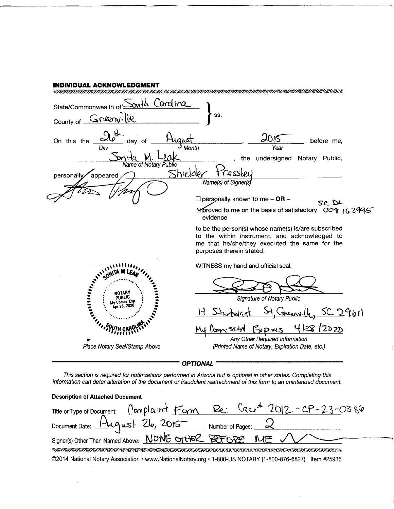### **INDIVIDUAL ACKNOWLEDGMENT**

| State/Commonwealth of South Cardina                                   |                                                                                                                                                                                   |
|-----------------------------------------------------------------------|-----------------------------------------------------------------------------------------------------------------------------------------------------------------------------------|
| County of Green le                                                    | SS.                                                                                                                                                                               |
| On this the<br>day of<br>Month<br>Day<br><b>Name of Notary Public</b> | 2015<br>before me,<br>Year<br>undersigned<br>Notary Public,<br>the                                                                                                                |
| <u>Shielder</u><br>appeared<br>personally                             | Name(s) of Signer(s)                                                                                                                                                              |
|                                                                       | $\Box$ personally known to me - OR -<br>SC DL<br>Proved to me on the basis of satisfactory 00% 162995<br>evidence                                                                 |
|                                                                       | to be the person(s) whose name(s) is/are subscribed<br>to the within instrument, and acknowledged to<br>me that he/she/they executed the same for the<br>purposes therein stated. |
|                                                                       | WITNESS my hand and official seal.                                                                                                                                                |
| Ashilling<br>NOTARY<br>PHRLIC<br>My Comm. Exp.                        | <b>Signature of Notary Public</b>                                                                                                                                                 |
| Apr 28, 2020                                                          | <u>SC 29611</u>                                                                                                                                                                   |
|                                                                       | $($ 20 $\mathcal{D}_{\mathcal{D}}$<br>XPIXS<br>Any Other Required Information                                                                                                     |
| Place Notary Seal/Stamp Above                                         | (Printed Name of Notary, Expiration Date, etc.)                                                                                                                                   |

- OPTIONAL -

This section is required for notarizations performed in Arizona but is optional in other states. Completing this<br>information can deter alteration of the document or fraudulent reattachment of this form to an unintended doc

| <b>Description of Attached Document</b>                                                                                                                   |
|-----------------------------------------------------------------------------------------------------------------------------------------------------------|
|                                                                                                                                                           |
| Title or Type of Document: <u>Campla int</u> Form Re: Case <sup>\$</sup> 2012 - CP-23-03 & 60<br>Document Date: <u>August 26, 2015</u> Number of Pages: 2 |
| Signer(s) Other Than Named Above: NONE OTHER BEFORE ME V                                                                                                  |
| IKON OKON OKONOMOKON KON OKONOMOKON OKONOMOKON OKONOMOKON OKONOMOKON OKONOMOKON OKONOMO                                                                   |
| @2014 National Notary Association · www.NationalNotary.org · 1-800-US NOTARY (1-800-876-6827) Item #25936                                                 |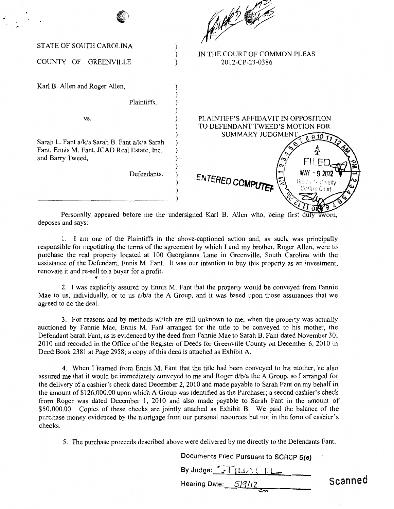| STATE OF SOUTH CAROLINA<br>COUNTY OF GREENVILLE                                                                         | IN THE COURT OF COMMON PLEAS<br>2012-CP-23-0386                                                             |
|-------------------------------------------------------------------------------------------------------------------------|-------------------------------------------------------------------------------------------------------------|
| Karl B. Allen and Roger Allen,<br>Plaintiffs,                                                                           |                                                                                                             |
| VS.<br>Sarah L. Fant a/k/a Sarah B. Fant a/k/a Sarah<br>Fant, Ennis M. Fant, JCAD Real Estate, Inc.<br>and Barry Tweed, | PLAINTIFF'S AFFIDAVIT IN OPPOSITION<br>TO DEFENDANT TWEED'S MOTION FOR<br><b>SUMMARY JUDGMENT</b><br>ନ୍ 910 |
| Defendants.                                                                                                             | $MAY - 9201$<br>ENTERED COMPUTER<br>Greenville Chanty<br>Gierk of Court                                     |

 $^{\prime}$ 

Personally appeared before me the undersigned Karl B. Allen who, being first duly sworn, deposes and says:

1. I am one of the Plaintiffs in the above-captioned action and, as such, was principally responsible for negotiating the terms of the agreement by which I and my brother, Roger Allen, were to purchase the real property located at 100 Georgianna Lane in Greenville, South Carolina with the assistance of the Defendant, Ennis M. Pant. It was our intention to buy this property as an investment, renovate it and re-sell to a buyer for a profit. .. '

2. I was explicitly assured by Ennis M. Pant that the property would be conveyed from Fannie Mae to us, individually, or to us d/b/a the A Group, and it was based upon those assurances that we agreed to do the deal.

3. For reasons and by methods which are still unknown to me, when the property was actually auctioned by Fannie Mae, Ennis M. Pant arranged for the title to be conveyed to his mother, the Defendant Sarah Fant, as is evidenced by the deed from Fannie Mae to Sarah B. Fant dated November 30, 2010 and recorded in the Office of the Register of Deeds for Greenville County on December 6, 2010 in Deed Book 2381 at Page 2958; a copy of this deed is attached as Exhibit A.

4. When I learned from Ennis M. Pant that the title had been conveyed to his mother, he also assured me that it would be immediately conveyed to me and Roger d/b/a the A Group, so I arranged for the delivery of a cashier's check dated December 2, 2010 and made payable to Sarah Pant on my behalf in the amount of \$126,000.00 upon which A Group was identified as the Purchaser; a second cashier's check from Roger was dated December 1, 2010 and also made payable to Sarah Pant in the amount of \$50,000.00. Copies of these checks are jointly attached as Exhibit B. We paid the balance of the purchase money evidenced by the mortgage from our personal resources but not in the form of cashier's checks.

5. The purchase proceeds described above were delivered by me directly to the Defendants Pant.

Documents Filed Pursuant to SCRCP 5(e}

By Judge:  $\sqrt{\frac{1}{L}}$  Library E. L. (

Hearing Date:\_\_\_\_\_\_*\_\_\_\_\_\_\_\_\_\_\_\_\_\_\_\_\_\_\_\_\_\_\_\_* 

**Scanned**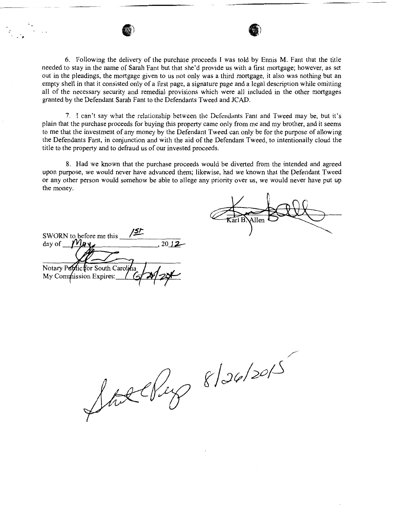6. Following the delivery of the purchase proceeds I was told by Ennis M. Fant that the title needed to stay in the name of Sarah Fant but that she'd provide us with a first mortgage; however, as set out in the pleadings, the mortgage given to us not only was a third mortgage, it also was nothing but an empty shell in that it consisted only of a first page, a signature page and a legal description while omitting all of the necessary security and remedial provisions which were all included in the other mortgages granted by the Defendant Sarah Fant to the Defendants Tweed and JCAD.

. ,. e) .)

7. I can't say what the relationship between the Defendants Fant and Tweed may be, but it's plain that the purchase proceeds for buying this property came only from me and my brother, and it seems to me that the investment of any money by the Defendant Tweed can only be for the purpose of allowing the Defendants Fant, in conjunction and with the aid of the Defendant Tweed, to intentionally cloud the title to the property and to defraud us of our invested proceeds.

8. Had we known that the purchase proceeds would be diverted from the intended and agreed upon purpose, we would never have advanced them; likewise, had we known that the pefendant Tweed or any other person would somehow be able to allege any priority over us, we would never have put up the money.

SWORN to before me this  $\frac{\sqrt{5}}{2}$ day of  $\frac{M_{\text{av}}}{\sqrt{2}}$ , 2012 Notary Paplic for South Carolina My Commission Expires:

Karl B\Allen

<sup>~</sup>

./  $8/26/20/5$